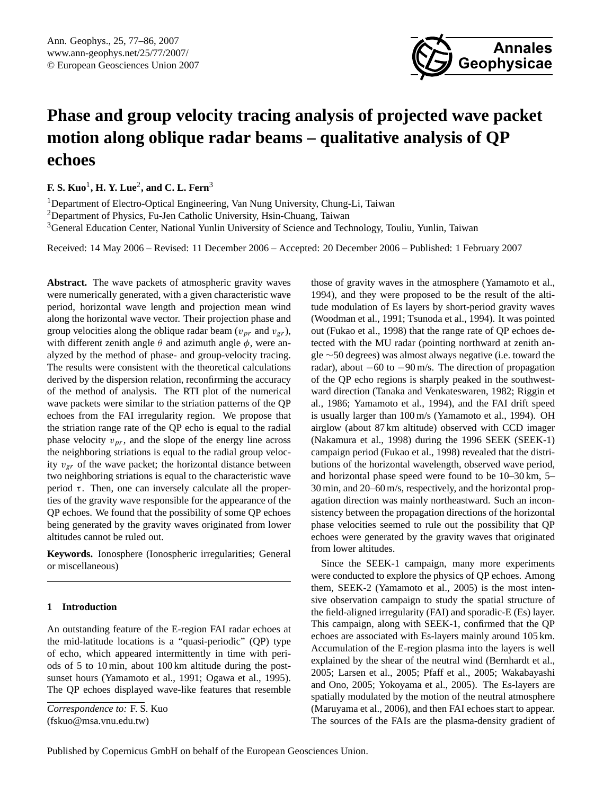

# <span id="page-0-0"></span>**Phase and group velocity tracing analysis of projected wave packet motion along oblique radar beams – qualitative analysis of QP echoes**

**F. S. Kuo**<sup>1</sup> **, H. Y. Lue**<sup>2</sup> **, and C. L. Fern**<sup>3</sup>

<sup>1</sup>Department of Electro-Optical Engineering, Van Nung University, Chung-Li, Taiwan

<sup>2</sup>Department of Physics, Fu-Jen Catholic University, Hsin-Chuang, Taiwan

<sup>3</sup>General Education Center, National Yunlin University of Science and Technology, Touliu, Yunlin, Taiwan

Received: 14 May 2006 – Revised: 11 December 2006 – Accepted: 20 December 2006 – Published: 1 February 2007

**Abstract.** The wave packets of atmospheric gravity waves were numerically generated, with a given characteristic wave period, horizontal wave length and projection mean wind along the horizontal wave vector. Their projection phase and group velocities along the oblique radar beam  $(v_{pr}$  and  $v_{gr}$ ), with different zenith angle  $\theta$  and azimuth angle  $\phi$ , were analyzed by the method of phase- and group-velocity tracing. The results were consistent with the theoretical calculations derived by the dispersion relation, reconfirming the accuracy of the method of analysis. The RTI plot of the numerical wave packets were similar to the striation patterns of the QP echoes from the FAI irregularity region. We propose that the striation range rate of the QP echo is equal to the radial phase velocity  $v_{pr}$ , and the slope of the energy line across the neighboring striations is equal to the radial group velocity  $v_{gr}$  of the wave packet; the horizontal distance between two neighboring striations is equal to the characteristic wave period  $\tau$ . Then, one can inversely calculate all the properties of the gravity wave responsible for the appearance of the QP echoes. We found that the possibility of some QP echoes being generated by the gravity waves originated from lower altitudes cannot be ruled out.

**Keywords.** Ionosphere (Ionospheric irregularities; General or miscellaneous)

# **1 Introduction**

An outstanding feature of the E-region FAI radar echoes at the mid-latitude locations is a "quasi-periodic" (QP) type of echo, which appeared intermittently in time with periods of 5 to 10 min, about 100 km altitude during the postsunset hours (Yamamoto et al., 1991; Ogawa et al., 1995). The QP echoes displayed wave-like features that resemble

*Correspondence to:* F. S. Kuo (fskuo@msa.vnu.edu.tw)

those of gravity waves in the atmosphere (Yamamoto et al., 1994), and they were proposed to be the result of the altitude modulation of Es layers by short-period gravity waves (Woodman et al., 1991; Tsunoda et al., 1994). It was pointed out (Fukao et al., 1998) that the range rate of QP echoes detected with the MU radar (pointing northward at zenith angle ∼50 degrees) was almost always negative (i.e. toward the radar), about  $-60$  to  $-90$  m/s. The direction of propagation of the QP echo regions is sharply peaked in the southwestward direction (Tanaka and Venkateswaren, 1982; Riggin et al., 1986; Yamamoto et al., 1994), and the FAI drift speed is usually larger than 100 m/s (Yamamoto et al., 1994). OH airglow (about 87 km altitude) observed with CCD imager (Nakamura et al., 1998) during the 1996 SEEK (SEEK-1) campaign period (Fukao et al., 1998) revealed that the distributions of the horizontal wavelength, observed wave period, and horizontal phase speed were found to be 10–30 km, 5– 30 min, and 20–60 m/s, respectively, and the horizontal propagation direction was mainly northeastward. Such an inconsistency between the propagation directions of the horizontal phase velocities seemed to rule out the possibility that QP echoes were generated by the gravity waves that originated from lower altitudes.

Since the SEEK-1 campaign, many more experiments were conducted to explore the physics of QP echoes. Among them, SEEK-2 (Yamamoto et al., 2005) is the most intensive observation campaign to study the spatial structure of the field-aligned irregularity (FAI) and sporadic-E (Es) layer. This campaign, along with SEEK-1, confirmed that the QP echoes are associated with Es-layers mainly around 105 km. Accumulation of the E-region plasma into the layers is well explained by the shear of the neutral wind (Bernhardt et al., 2005; Larsen et al., 2005; Pfaff et al., 2005; Wakabayashi and Ono, 2005; Yokoyama et al., 2005). The Es-layers are spatially modulated by the motion of the neutral atmosphere (Maruyama et al., 2006), and then FAI echoes start to appear. The sources of the FAIs are the plasma-density gradient of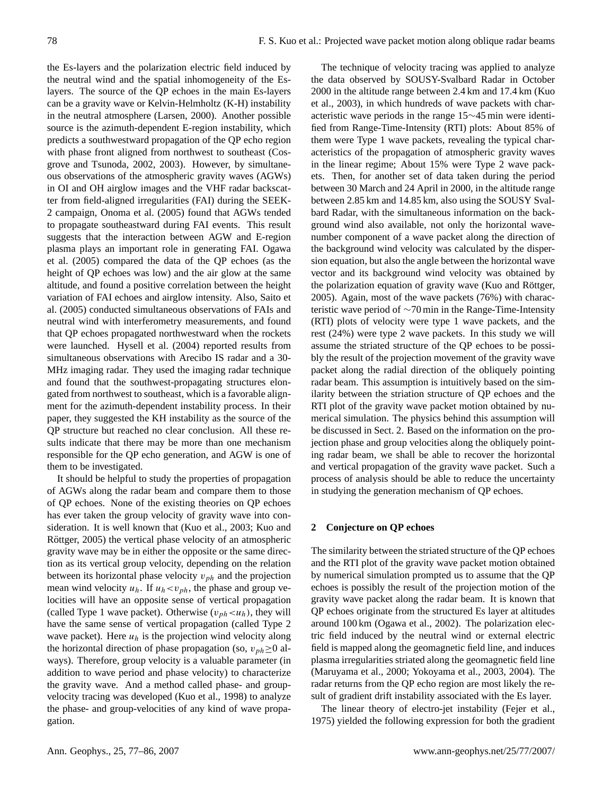the Es-layers and the polarization electric field induced by the neutral wind and the spatial inhomogeneity of the Eslayers. The source of the QP echoes in the main Es-layers can be a gravity wave or Kelvin-Helmholtz (K-H) instability in the neutral atmosphere (Larsen, 2000). Another possible source is the azimuth-dependent E-region instability, which predicts a southwestward propagation of the QP echo region with phase front aligned from northwest to southeast (Cosgrove and Tsunoda, 2002, 2003). However, by simultaneous observations of the atmospheric gravity waves (AGWs) in OI and OH airglow images and the VHF radar backscatter from field-aligned irregularities (FAI) during the SEEK-2 campaign, Onoma et al. (2005) found that AGWs tended to propagate southeastward during FAI events. This result suggests that the interaction between AGW and E-region plasma plays an important role in generating FAI. Ogawa et al. (2005) compared the data of the QP echoes (as the height of QP echoes was low) and the air glow at the same altitude, and found a positive correlation between the height variation of FAI echoes and airglow intensity. Also, Saito et al. (2005) conducted simultaneous observations of FAIs and neutral wind with interferometry measurements, and found that QP echoes propagated northwestward when the rockets were launched. Hysell et al. (2004) reported results from simultaneous observations with Arecibo IS radar and a 30- MHz imaging radar. They used the imaging radar technique and found that the southwest-propagating structures elongated from northwest to southeast, which is a favorable alignment for the azimuth-dependent instability process. In their paper, they suggested the KH instability as the source of the QP structure but reached no clear conclusion. All these results indicate that there may be more than one mechanism responsible for the QP echo generation, and AGW is one of them to be investigated.

It should be helpful to study the properties of propagation of AGWs along the radar beam and compare them to those of QP echoes. None of the existing theories on QP echoes has ever taken the group velocity of gravity wave into consideration. It is well known that (Kuo et al., 2003; Kuo and Röttger, 2005) the vertical phase velocity of an atmospheric gravity wave may be in either the opposite or the same direction as its vertical group velocity, depending on the relation between its horizontal phase velocity  $v_{ph}$  and the projection mean wind velocity  $u_h$ . If  $u_h < v_{ph}$ , the phase and group velocities will have an opposite sense of vertical propagation (called Type 1 wave packet). Otherwise  $(v_{ph} < u_h)$ , they will have the same sense of vertical propagation (called Type 2 wave packet). Here  $u_h$  is the projection wind velocity along the horizontal direction of phase propagation (so,  $v_{ph} \ge 0$  always). Therefore, group velocity is a valuable parameter (in addition to wave period and phase velocity) to characterize the gravity wave. And a method called phase- and groupvelocity tracing was developed (Kuo et al., 1998) to analyze the phase- and group-velocities of any kind of wave propagation.

The technique of velocity tracing was applied to analyze the data observed by SOUSY-Svalbard Radar in October 2000 in the altitude range between 2.4 km and 17.4 km (Kuo et al., 2003), in which hundreds of wave packets with characteristic wave periods in the range 15∼45 min were identified from Range-Time-Intensity (RTI) plots: About 85% of them were Type 1 wave packets, revealing the typical characteristics of the propagation of atmospheric gravity waves in the linear regime; About 15% were Type 2 wave packets. Then, for another set of data taken during the period between 30 March and 24 April in 2000, in the altitude range between 2.85 km and 14.85 km, also using the SOUSY Svalbard Radar, with the simultaneous information on the background wind also available, not only the horizontal wavenumber component of a wave packet along the direction of the background wind velocity was calculated by the dispersion equation, but also the angle between the horizontal wave vector and its background wind velocity was obtained by the polarization equation of gravity wave (Kuo and Röttger, 2005). Again, most of the wave packets (76%) with characteristic wave period of ∼70 min in the Range-Time-Intensity (RTI) plots of velocity were type 1 wave packets, and the rest (24%) were type 2 wave packets. In this study we will assume the striated structure of the QP echoes to be possibly the result of the projection movement of the gravity wave packet along the radial direction of the obliquely pointing radar beam. This assumption is intuitively based on the similarity between the striation structure of QP echoes and the RTI plot of the gravity wave packet motion obtained by numerical simulation. The physics behind this assumption will be discussed in Sect. 2. Based on the information on the projection phase and group velocities along the obliquely pointing radar beam, we shall be able to recover the horizontal and vertical propagation of the gravity wave packet. Such a process of analysis should be able to reduce the uncertainty in studying the generation mechanism of QP echoes.

## **2 Conjecture on QP echoes**

The similarity between the striated structure of the QP echoes and the RTI plot of the gravity wave packet motion obtained by numerical simulation prompted us to assume that the QP echoes is possibly the result of the projection motion of the gravity wave packet along the radar beam. It is known that QP echoes originate from the structured Es layer at altitudes around 100 km (Ogawa et al., 2002). The polarization electric field induced by the neutral wind or external electric field is mapped along the geomagnetic field line, and induces plasma irregularities striated along the geomagnetic field line (Maruyama et al., 2000; Yokoyama et al., 2003, 2004). The radar returns from the QP echo region are most likely the result of gradient drift instability associated with the Es layer.

The linear theory of electro-jet instability (Fejer et al., 1975) yielded the following expression for both the gradient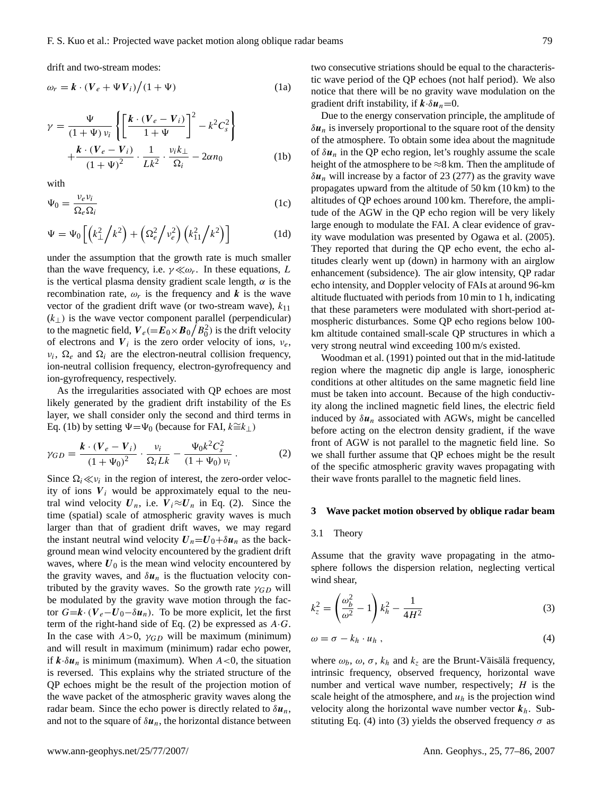drift and two-stream modes:

$$
\omega_r = \mathbf{k} \cdot (\mathbf{V}_e + \Psi \mathbf{V}_i) \big/ (1 + \Psi) \tag{1a}
$$

$$
\gamma = \frac{\Psi}{(1+\Psi)\nu_i} \left\{ \left[ \frac{\boldsymbol{k} \cdot (\boldsymbol{V}_e - \boldsymbol{V}_i)}{1+\Psi} \right]^2 - k^2 C_s^2 \right\}
$$
  
 
$$
+ \frac{\boldsymbol{k} \cdot (\boldsymbol{V}_e - \boldsymbol{V}_i)}{(1+\Psi)^2} \cdot \frac{1}{Lk^2} \cdot \frac{\nu_i k_\perp}{\Omega_i} - 2\alpha n_0
$$
 (1b)

with

$$
\Psi_0 = \frac{\nu_e \nu_i}{\Omega_e \Omega_i} \tag{1c}
$$

$$
\Psi = \Psi_0 \left[ \left( k_\perp^2 \right) k^2 \right) + \left( \Omega_e^2 \left/ v_e^2 \right) \left( k_{11}^2 \left/ k^2 \right) \right] \tag{1d}
$$

under the assumption that the growth rate is much smaller than the wave frequency, i.e.  $\gamma \ll \omega_r$ . In these equations, L is the vertical plasma density gradient scale length,  $\alpha$  is the recombination rate,  $\omega_r$  is the frequency and  $\boldsymbol{k}$  is the wave vector of the gradient drift wave (or two-stream wave),  $k_{11}$  $(k<sub>⊥</sub>)$  is the wave vector component parallel (perpendicular) to the magnetic field,  $\boldsymbol{V}_e (= \boldsymbol{E}_0 \times \boldsymbol{B}_0 / B_0^2)$  is the drift velocity of electrons and  $V_i$  is the zero order velocity of ions,  $v_e$ ,  $v_i$ ,  $\Omega_e$  and  $\Omega_i$  are the electron-neutral collision frequency, ion-neutral collision frequency, electron-gyrofrequency and ion-gyrofrequency, respectively.

As the irregularities associated with QP echoes are most likely generated by the gradient drift instability of the Es layer, we shall consider only the second and third terms in Eq. (1b) by setting  $\Psi = \Psi_0$  (because for FAI,  $k \cong k_{\perp}$ )

$$
\gamma_{GD} = \frac{\mathbf{k} \cdot (V_e - V_i)}{(1 + \Psi_0)^2} \cdot \frac{v_i}{\Omega_i L k} - \frac{\Psi_0 k^2 C_s^2}{(1 + \Psi_0) v_i} \,. \tag{2}
$$

Since  $\Omega_i \ll v_i$  in the region of interest, the zero-order velocity of ions  $V_i$  would be approximately equal to the neutral wind velocity  $U_n$ , i.e.  $V_i \approx U_n$  in Eq. (2). Since the time (spatial) scale of atmospheric gravity waves is much larger than that of gradient drift waves, we may regard the instant neutral wind velocity  $U_n=U_0+\delta u_n$  as the background mean wind velocity encountered by the gradient drift waves, where  $U_0$  is the mean wind velocity encountered by the gravity waves, and  $\delta u_n$  is the fluctuation velocity contributed by the gravity waves. So the growth rate  $\gamma_{GD}$  will be modulated by the gravity wave motion through the factor  $G=k \cdot (V_e-U_0-\delta u_n)$ . To be more explicit, let the first term of the right-hand side of Eq.  $(2)$  be expressed as  $A \cdot G$ . In the case with  $A>0$ ,  $\gamma_{GD}$  will be maximum (minimum) and will result in maximum (minimum) radar echo power, if  $\mathbf{k} \cdot \delta \mathbf{u}_n$  is minimum (maximum). When  $A \le 0$ , the situation is reversed. This explains why the striated structure of the QP echoes might be the result of the projection motion of the wave packet of the atmospheric gravity waves along the radar beam. Since the echo power is directly related to  $\delta u_n$ , and not to the square of  $\delta u_n$ , the horizontal distance between two consecutive striations should be equal to the characteristic wave period of the QP echoes (not half period). We also notice that there will be no gravity wave modulation on the gradient drift instability, if  $\mathbf{k} \cdot \delta \mathbf{u}_n = 0$ .

Due to the energy conservation principle, the amplitude of  $\delta u_n$  is inversely proportional to the square root of the density of the atmosphere. To obtain some idea about the magnitude of  $\delta u_n$  in the QP echo region, let's roughly assume the scale height of the atmosphere to be  $\approx 8$  km. Then the amplitude of  $\delta u_n$  will increase by a factor of 23 (277) as the gravity wave propagates upward from the altitude of 50 km (10 km) to the altitudes of QP echoes around 100 km. Therefore, the amplitude of the AGW in the QP echo region will be very likely large enough to modulate the FAI. A clear evidence of gravity wave modulation was presented by Ogawa et al. (2005). They reported that during the QP echo event, the echo altitudes clearly went up (down) in harmony with an airglow enhancement (subsidence). The air glow intensity, QP radar echo intensity, and Doppler velocity of FAIs at around 96-km altitude fluctuated with periods from 10 min to 1 h, indicating that these parameters were modulated with short-period atmospheric disturbances. Some QP echo regions below 100 km altitude contained small-scale QP structures in which a very strong neutral wind exceeding 100 m/s existed.

Woodman et al. (1991) pointed out that in the mid-latitude region where the magnetic dip angle is large, ionospheric conditions at other altitudes on the same magnetic field line must be taken into account. Because of the high conductivity along the inclined magnetic field lines, the electric field induced by  $\delta u_n$  associated with AGWs, might be cancelled before acting on the electron density gradient, if the wave front of AGW is not parallel to the magnetic field line. So we shall further assume that QP echoes might be the result of the specific atmospheric gravity waves propagating with their wave fronts parallel to the magnetic field lines.

## **3 Wave packet motion observed by oblique radar beam**

### 3.1 Theory

Assume that the gravity wave propagating in the atmosphere follows the dispersion relation, neglecting vertical wind shear,

$$
k_z^2 = \left(\frac{\omega_b^2}{\omega^2} - 1\right)k_h^2 - \frac{1}{4H^2}
$$
 (3)

$$
\omega = \sigma - k_h \cdot u_h \,, \tag{4}
$$

where  $\omega_b$ ,  $\omega$ ,  $\sigma$ ,  $k_h$  and  $k_z$  are the Brunt-Väisälä frequency, intrinsic frequency, observed frequency, horizontal wave number and vertical wave number, respectively;  $H$  is the scale height of the atmosphere, and  $u_h$  is the projection wind velocity along the horizontal wave number vector  $k_h$ . Substituting Eq. (4) into (3) yields the observed frequency  $\sigma$  as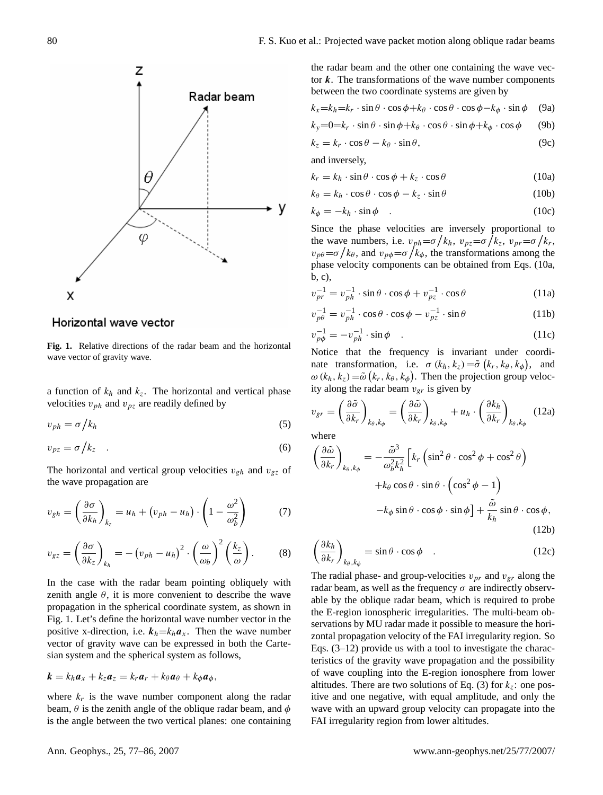

# Horizontal wave vector

**Fig. 1.** Relative directions of the radar beam and the horizontal wave vector of gravity wave.

a function of  $k_h$  and  $k_z$ . The horizontal and vertical phase velocities  $v_{ph}$  and  $v_{pz}$  are readily defined by

$$
v_{ph} = \sigma / k_h \tag{5}
$$

$$
v_{pz} = \sigma / k_z \quad . \tag{6}
$$

The horizontal and vertical group velocities  $v_{gh}$  and  $v_{gz}$  of the wave propagation are

$$
v_{gh} = \left(\frac{\partial \sigma}{\partial k_h}\right)_{k_z} = u_h + \left(v_{ph} - u_h\right) \cdot \left(1 - \frac{\omega^2}{\omega_b^2}\right) \tag{7}
$$

$$
v_{gz} = \left(\frac{\partial \sigma}{\partial k_z}\right)_{k_h} = -\left(v_{ph} - u_h\right)^2 \cdot \left(\frac{\omega}{\omega_b}\right)^2 \left(\frac{k_z}{\omega}\right). \tag{8}
$$

In the case with the radar beam pointing obliquely with zenith angle  $\theta$ , it is more convenient to describe the wave propagation in the spherical coordinate system, as shown in Fig. 1. Let's define the horizontal wave number vector in the positive x-direction, i.e.  $k_h = k_h a_x$ . Then the wave number vector of gravity wave can be expressed in both the Cartesian system and the spherical system as follows,

$$
\mathbf{k}=k_h\mathbf{a}_x+k_z\mathbf{a}_z=k_r\mathbf{a}_r+k_\theta\mathbf{a}_\theta+k_\phi\mathbf{a}_\phi,
$$

where  $k_r$  is the wave number component along the radar beam,  $\theta$  is the zenith angle of the oblique radar beam, and  $\phi$ is the angle between the two vertical planes: one containing the radar beam and the other one containing the wave vector  $k$ . The transformations of the wave number components between the two coordinate systems are given by

$$
k_x = k_h = k_r \cdot \sin \theta \cdot \cos \phi + k_\theta \cdot \cos \theta \cdot \cos \phi - k_\phi \cdot \sin \phi \quad (9a)
$$

$$
k_y = 0 = k_r \cdot \sin \theta \cdot \sin \phi + k_\theta \cdot \cos \theta \cdot \sin \phi + k_\phi \cdot \cos \phi \qquad (9b)
$$

$$
k_z = k_r \cdot \cos \theta - k_\theta \cdot \sin \theta, \tag{9c}
$$

and inversely,

$$
k_r = k_h \cdot \sin \theta \cdot \cos \phi + k_z \cdot \cos \theta \tag{10a}
$$

$$
k_{\theta} = k_h \cdot \cos \theta \cdot \cos \phi - k_z \cdot \sin \theta \tag{10b}
$$

$$
k_{\phi} = -k_h \cdot \sin \phi \quad . \tag{10c}
$$

Since the phase velocities are inversely proportional to the wave numbers, i.e.  $v_{ph} = \sigma / k_h$ ,  $v_{pz} = \sigma / k_z$ ,  $v_{pr} = \sigma / k_r$ ,  $v_{p\theta} = \sigma / k_{\theta}$ , and  $v_{p\phi} = \sigma / k_{\phi}$ , the transformations among the phase velocity components can be obtained from Eqs. (10a, b, c),

$$
v_{pr}^{-1} = v_{ph}^{-1} \cdot \sin \theta \cdot \cos \phi + v_{pz}^{-1} \cdot \cos \theta \tag{11a}
$$

$$
v_{p\theta}^{-1} = v_{ph}^{-1} \cdot \cos\theta \cdot \cos\phi - v_{pz}^{-1} \cdot \sin\theta \tag{11b}
$$

$$
v_{p\phi}^{-1} = -v_{ph}^{-1} \cdot \sin \phi \quad . \tag{11c}
$$

 $\omega$  ( $\alpha_h$ ,  $\alpha_z$ ) - compared the radial wave vector of the horizontal wave vector of the horizontal wave vector of the horizontal wave vector of the horizontal wave vector of the horizontal wave vector of the horizontal Notice that the frequency is invariant under coordinate transformation, i.e.  $\sigma (k_h, k_z) = \tilde{\sigma} (k_r, k_\theta, k_\phi)$ , and  $\omega(k_h, k_z) = \tilde{\omega}(k_r, k_\theta, k_\phi)$ . Then the projection group velocity along the radar beam  $v_{gr}$  is given by

$$
v_{gr} = \left(\frac{\partial \tilde{\sigma}}{\partial k_r}\right)_{k_{\theta}, k_{\phi}} = \left(\frac{\partial \tilde{\omega}}{\partial k_r}\right)_{k_{\theta}, k_{\phi}} + u_h \cdot \left(\frac{\partial k_h}{\partial k_r}\right)_{k_{\theta}, k_{\phi}} \quad (12a)
$$
where

where

$$
\left(\frac{\partial \tilde{\omega}}{\partial k_r}\right)_{k_{\theta},k_{\phi}} = -\frac{\tilde{\omega}^3}{\omega_b^2 k_h^2} \left[ k_r \left( \sin^2 \theta \cdot \cos^2 \phi + \cos^2 \theta \right) + k_{\theta} \cos \theta \cdot \sin \theta \cdot \left( \cos^2 \phi - 1 \right) -k_{\phi} \sin \theta \cdot \cos \phi \cdot \sin \phi \right] + \frac{\tilde{\omega}}{k_h} \sin \theta \cdot \cos \phi,
$$
\n(12)

$$
(12b)
$$

$$
\left(\frac{\partial k_h}{\partial k_r}\right)_{k_\theta, k_\phi} = \sin\theta \cdot \cos\phi \quad . \tag{12c}
$$

The radial phase- and group-velocities  $v_{pr}$  and  $v_{gr}$  along the radar beam, as well as the frequency  $\sigma$  are indirectly observable by the oblique radar beam, which is required to probe the E-region ionospheric irregularities. The multi-beam observations by MU radar made it possible to measure the horizontal propagation velocity of the FAI irregularity region. So Eqs. (3–12) provide us with a tool to investigate the characteristics of the gravity wave propagation and the possibility of wave coupling into the E-region ionosphere from lower altitudes. There are two solutions of Eq. (3) for  $k_z$ : one positive and one negative, with equal amplitude, and only the wave with an upward group velocity can propagate into the FAI irregularity region from lower altitudes.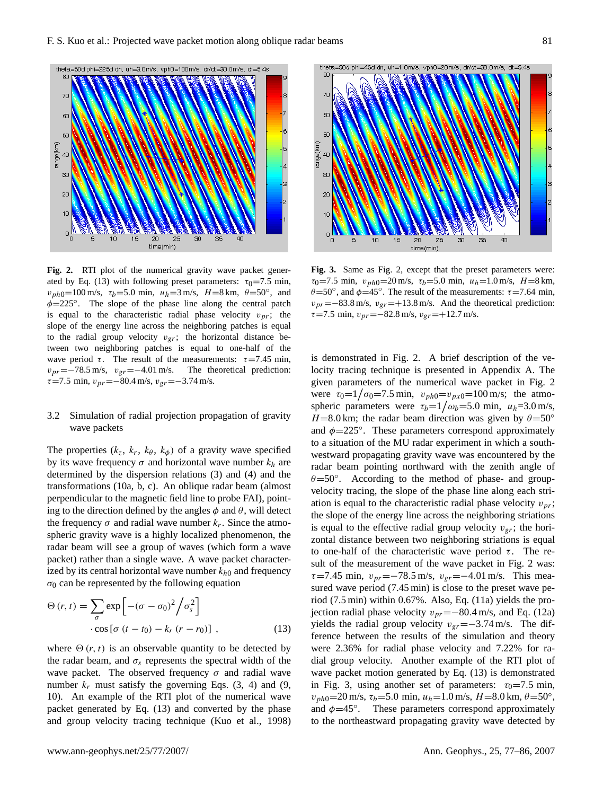

 $v_{ph0}=100 \text{ m/s}, \tau_b=5.0 \text{ min}, u_h=3 \text{ m/s}, H=8 \text{ km}, \theta=50^\circ, \text{ and } \theta=$ is equal to the characteristic radial phase velocity  $v_{pr}$ ; the  $\tau =$ to the radial group velocity  $v_{gr}$ ; the horizontal distance be-<br>types two pricklessing ratios is equal to an holf of the wave period  $\tau$ . The result of the measurements:  $\tau$ =7.45 min, is  $\tau$  =7.5 min,  $v_{pr}$  = −80.4 m/s,  $v_{gr}$  = −3.74 m/s. giv **Fig. 2.** RTI plot of the numerical gravity wave packet gener ated by Eq. (13) with following preset parameters:  $\tau_0$ =7.5 min,  $\phi = 225^\circ$ . The slope of the phase line along the central patch slope of the energy line across the neighboring patches is equal tween two neighboring patches is equal to one-half of the  $v_{pr} = -78.5$  m/s,  $v_{gr} = -4.01$  m/s. The theoretical prediction:

# 3.2 Simulation of radial projection propagation of gravity  $\theta$  $\frac{1}{2}$  and  $\frac{1}{2}$  one half of the wave period to  $\frac{1}{2}$  one  $\frac{1}{2}$ wave packets

by its wave frequency  $\sigma$  and horizontal wave number  $k_h$  are  $\frac{1}{\text{rad}}$ transformations (10a, b, c). An oblique radar beam (almost The properties  $(k_z, k_r, k_\theta, k_\phi)$  of a gravity wave specified determined by the dispersion relations (3) and (4) and the perpendicular to the magnetic field line to probe FAI), pointing to the direction defined by the angles  $\phi$  and  $\theta$ , will detect the frequency  $\sigma$  and radial wave number  $k_r$ . Since the atmospheric gravity wave is a highly localized phenomenon, the radar beam will see a group of waves (which form a wave packet) rather than a single wave. A wave packet characterized by its central horizontal wave number  $k_{h0}$  and frequency  $\sigma_0$  can be represented by the following equation

$$
\Theta(r, t) = \sum_{\sigma} \exp\left[ -(\sigma - \sigma_0)^2 / \sigma_s^2 \right]
$$

$$
\cdot \cos\left[\sigma (t - t_0) - k_r (r - r_0)\right],
$$
(13)

where  $\Theta(r, t)$  is an observable quantity to be detected by the radar beam, and  $\sigma_s$  represents the spectral width of the wave packet. The observed frequency  $\sigma$  and radial wave number  $k_r$  must satisfy the governing Eqs. (3, 4) and (9, 10). An example of the RTI plot of the numerical wave packet generated by Eq. (13) and converted by the phase and group velocity tracing technique (Kuo et al., 1998)



patch  $v_{pr} = -83.8 \text{ m/s}, v_{gr} = +13.8 \text{ m/s}.$  And the theoretical prediction:  $\tau$ =7.5 min,  $v_{pr}$ =-82.8 m/s,  $v_{gr}$ =+12.7 m/s. **Fig. 3.** Same as Fig. 2, except that the preset parameters were:  $\tau_0$ =7.5 min,  $v_{ph0}$ =20 m/s,  $\tau_b$ =5.0 min,  $u_h$ =1.0 m/s, H=8 km,  $\theta$ =50°, and  $\phi$ =45°. The result of the measurements:  $\tau$ =7.64 min,

locity tracing technique is presented in Appendix A. The is demonstrated in Fig. 2. A brief description of the vegiven parameters of the numerical wave packet in Fig. 2 were  $\tau_0 = 1/\sigma_0 = 7.5$  min,  $v_{ph0} = v_{px0} = 100$  m/s; the atmospheric parameters were  $\tau_b = 1/\omega_b = 5.0$  min,  $u_h = 3.0$  m/s,  $H=8.0$  km; the radar beam direction was given by  $\theta=50^{\circ}$ and  $\phi = 225^\circ$ . These parameters correspond approximately to a situation of the MU radar experiment in which a southwestward propagating gravity wave was encountered by the radar beam pointing northward with the zenith angle of  $\theta$ =50°. According to the method of phase- and groupvelocity tracing, the slope of the phase line along each striation is equal to the characteristic radial phase velocity  $v_{pr}$ ; the slope of the energy line across the neighboring striations is equal to the effective radial group velocity  $v_{gr}$ ; the horizontal distance between two neighboring striations is equal to one-half of the characteristic wave period  $\tau$ . The result of the measurement of the wave packet in Fig. 2 was:  $\tau$ =7.45 min,  $v_{pr}$ =−78.5 m/s,  $v_{gr}$ =−4.01 m/s. This measured wave period (7.45 min) is close to the preset wave period (7.5 min) within 0.67%. Also, Eq. (11a) yields the projection radial phase velocity  $v_{pr}$ =−80.4 m/s, and Eq. (12a) yields the radial group velocity  $v_{gr} = -3.74$  m/s. The difference between the results of the simulation and theory were 2.36% for radial phase velocity and 7.22% for radial group velocity. Another example of the RTI plot of wave packet motion generated by Eq. (13) is demonstrated in Fig. 3, using another set of parameters:  $\tau_0 = 7.5$  min,  $v_{ph0}$ =20 m/s,  $\tau_b$ =5.0 min,  $u_h$ =1.0 m/s,  $H$ =8.0 km,  $\theta$ =50°, and  $\phi = 45^\circ$ . These parameters correspond approximately to the northeastward propagating gravity wave detected by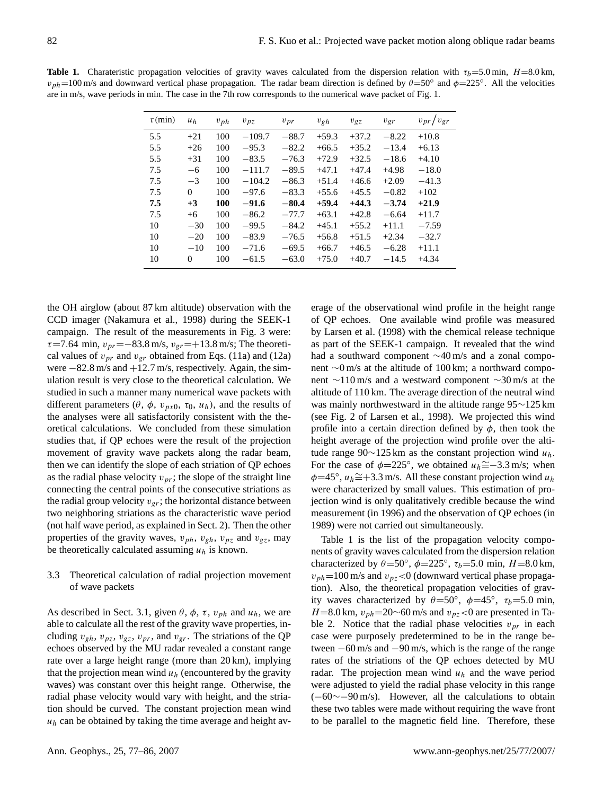|  | <b>Table 1.</b> Charateristic propagation velocities of gravity waves calculated from the dispersion relation with $\tau_b$ =5.0 min, $H$ =8.0 km,   |  |  |  |  |  |
|--|------------------------------------------------------------------------------------------------------------------------------------------------------|--|--|--|--|--|
|  | $v_{ph}$ =100 m/s and downward vertical phase propagation. The radar beam direction is defined by $\theta$ =50° and $\phi$ =225°. All the velocities |  |  |  |  |  |
|  | are in m/s, wave periods in min. The case in the 7th row corresponds to the numerical wave packet of Fig. 1.                                         |  |  |  |  |  |

| $\tau$ (min) | $u_h$    | $v_{ph}$ | $v_{pz}$ | $v_{pr}$ | $v_{gh}$ | $v_{gz}$ | $v_{gr}$ | $v_{pr}/v_{gr}$ |
|--------------|----------|----------|----------|----------|----------|----------|----------|-----------------|
| 5.5          | $+21$    | 100      | $-109.7$ | $-88.7$  | $+59.3$  | $+37.2$  | $-8.22$  | $+10.8$         |
| 5.5          | $+26$    | 100      | $-95.3$  | $-82.2$  | $+66.5$  | $+35.2$  | $-13.4$  | $+6.13$         |
| 5.5          | $+31$    | 100      | $-83.5$  | $-76.3$  | $+72.9$  | $+32.5$  | $-18.6$  | $+4.10$         |
| 7.5          | $-6$     | 100      | $-111.7$ | $-89.5$  | $+47.1$  | $+47.4$  | $+4.98$  | $-18.0$         |
| 7.5          | $-3$     | 100      | $-104.2$ | $-86.3$  | $+51.4$  | $+46.6$  | $+2.09$  | $-41.3$         |
| 7.5          | $\Omega$ | 100      | $-97.6$  | $-83.3$  | $+55.6$  | $+45.5$  | $-0.82$  | $+102$          |
| 7.5          | $+3$     | 100      | $-91.6$  | $-80.4$  | $+59.4$  | $+44.3$  | $-3.74$  | $+21.9$         |
| 7.5          | $+6$     | 100      | $-86.2$  | $-77.7$  | $+63.1$  | $+42.8$  | $-6.64$  | $+11.7$         |
| 10           | $-30$    | 100      | $-99.5$  | $-84.2$  | $+45.1$  | $+55.2$  | $+11.1$  | $-7.59$         |
| 10           | $-20$    | 100      | $-83.9$  | $-76.5$  | $+56.8$  | $+51.5$  | $+2.34$  | $-32.7$         |
| 10           | $-10$    | 100      | $-71.6$  | $-69.5$  | $+66.7$  | $+46.5$  | $-6.28$  | $+11.1$         |
| 10           | $\Omega$ | 100      | $-61.5$  | $-63.0$  | $+75.0$  | $+40.7$  | $-14.5$  | $+4.34$         |

the OH airglow (about 87 km altitude) observation with the CCD imager (Nakamura et al., 1998) during the SEEK-1 campaign. The result of the measurements in Fig. 3 were:  $\tau$ =7.64 min,  $v_{pr}$ =−83.8 m/s,  $v_{gr}$ =+13.8 m/s; The theoretical values of  $v_{pr}$  and  $v_{gr}$  obtained from Eqs. (11a) and (12a) were  $-82.8$  m/s and  $+12.7$  m/s, respectively. Again, the simulation result is very close to the theoretical calculation. We studied in such a manner many numerical wave packets with different parameters  $(\theta, \phi, v_{px0}, \tau_0, u_h)$ , and the results of the analyses were all satisfactorily consistent with the theoretical calculations. We concluded from these simulation studies that, if QP echoes were the result of the projection movement of gravity wave packets along the radar beam, then we can identify the slope of each striation of QP echoes as the radial phase velocity  $v_{pr}$ ; the slope of the straight line connecting the central points of the consecutive striations as the radial group velocity  $v_{gr}$ ; the horizontal distance between two neighboring striations as the characteristic wave period (not half wave period, as explained in Sect. 2). Then the other properties of the gravity waves,  $v_{ph}$ ,  $v_{gh}$ ,  $v_{pz}$  and  $v_{gz}$ , may be theoretically calculated assuming  $u_h$  is known.

# 3.3 Theoretical calculation of radial projection movement of wave packets

As described in Sect. 3.1, given  $\theta$ ,  $\phi$ ,  $\tau$ ,  $v_{ph}$  and  $u_h$ , we are able to calculate all the rest of the gravity wave properties, including  $v_{gh}$ ,  $v_{pz}$ ,  $v_{gz}$ ,  $v_{pr}$ , and  $v_{gr}$ . The striations of the QP echoes observed by the MU radar revealed a constant range rate over a large height range (more than 20 km), implying that the projection mean wind  $u<sub>h</sub>$  (encountered by the gravity waves) was constant over this height range. Otherwise, the radial phase velocity would vary with height, and the striation should be curved. The constant projection mean wind  $u_h$  can be obtained by taking the time average and height average of the observational wind profile in the height range of QP echoes. One available wind profile was measured by Larsen et al. (1998) with the chemical release technique as part of the SEEK-1 campaign. It revealed that the wind had a southward component ∼40 m/s and a zonal component ∼0 m/s at the altitude of 100 km; a northward component ∼110 m/s and a westward component ∼30 m/s at the altitude of 110 km. The average direction of the neutral wind was mainly northwestward in the altitude range 95∼125 km (see Fig. 2 of Larsen et al., 1998). We projected this wind profile into a certain direction defined by  $\phi$ , then took the height average of the projection wind profile over the altitude range 90∼125 km as the constant projection wind  $u_h$ . For the case of  $\phi = 225^\circ$ , we obtained  $u_h \approx -3.3$  m/s; when  $\phi$ =45°,  $u_h \approx +3.3$  m/s. All these constant projection wind  $u_h$ were characterized by small values. This estimation of projection wind is only qualitatively credible because the wind measurement (in 1996) and the observation of QP echoes (in 1989) were not carried out simultaneously.

Table 1 is the list of the propagation velocity components of gravity waves calculated from the dispersion relation characterized by  $\theta = 50^\circ$ ,  $\phi = 225^\circ$ ,  $\tau_b = 5.0$  min,  $H = 8.0$  km,  $v_{ph}$ =100 m/s and  $v_{pz}$ <0 (downward vertical phase propagation). Also, the theoretical propagation velocities of gravity waves characterized by  $\theta = 50^\circ$ ,  $\phi = 45^\circ$ ,  $\tau_b = 5.0$  min, H=8.0 km,  $v_{ph}$ =20∼60 m/s and  $v_{pz}$  <0 are presented in Table 2. Notice that the radial phase velocities  $v_{pr}$  in each case were purposely predetermined to be in the range between −60 m/s and −90 m/s, which is the range of the range rates of the striations of the QP echoes detected by MU radar. The projection mean wind  $u_h$  and the wave period were adjusted to yield the radial phase velocity in this range (−60∼−90 m/s). However, all the calculations to obtain these two tables were made without requiring the wave front to be parallel to the magnetic field line. Therefore, these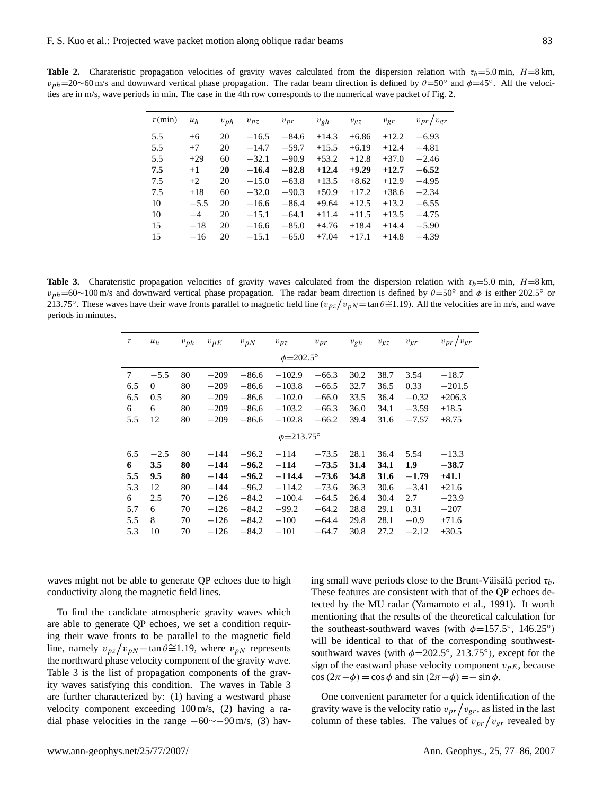**Table 2.** Charateristic propagation velocities of gravity waves calculated from the dispersion relation with  $\tau_b$ =5.0 min,  $H=8$  km,  $v_{ph}$ =20∼60 m/s and downward vertical phase propagation. The radar beam direction is defined by  $\theta$ =50° and  $\phi$ =45°. All the velocities are in m/s, wave periods in min. The case in the 4th row corresponds to the numerical wave packet of Fig. 2.

| $\tau$ (min) | $u_h$  | $v_{ph}$ | $v_{pz}$ | $v_{pr}$ | $v_{gh}$ | $v_{gz}$ | $v_{gr}$ | $v_{pr}/v_{gr}$ |
|--------------|--------|----------|----------|----------|----------|----------|----------|-----------------|
| 5.5          | $+6$   | 20       | $-16.5$  | $-84.6$  | $+14.3$  | $+6.86$  | $+12.2$  | $-6.93$         |
| 5.5          | $+7$   | 20       | $-14.7$  | $-59.7$  | $+15.5$  | $+6.19$  | $+12.4$  | $-4.81$         |
| 5.5          | $+29$  | 60       | $-32.1$  | $-90.9$  | $+53.2$  | $+12.8$  | $+37.0$  | $-2.46$         |
| 7.5          | $+1$   | 20       | $-16.4$  | $-82.8$  | $+12.4$  | $+9.29$  | $+12.7$  | $-6.52$         |
| 7.5          | $+2$   | 20       | $-15.0$  | $-63.8$  | $+13.5$  | $+8.62$  | $+12.9$  | $-4.95$         |
| 7.5          | $+18$  | 60       | $-32.0$  | $-90.3$  | $+50.9$  | $+17.2$  | $+38.6$  | $-2.34$         |
| 10           | $-5.5$ | 20       | $-16.6$  | $-86.4$  | $+9.64$  | $+12.5$  | $+13.2$  | $-6.55$         |
| 10           | $-4$   | 20       | $-15.1$  | $-64.1$  | $+11.4$  | $+11.5$  | $+13.5$  | $-4.75$         |
| 15           | $-18$  | 20       | $-16.6$  | $-85.0$  | $+4.76$  | $+18.4$  | $+14.4$  | $-5.90$         |
| 15           | $-16$  | 20       | $-15.1$  | $-65.0$  | $+7.04$  | $+17.1$  | $+14.8$  | $-4.39$         |

**Table 3.** Charateristic propagation velocities of gravity waves calculated from the dispersion relation with  $\tau_b$ =5.0 min,  $H=8$  km,  $v_{ph}$ =60∼100 m/s and downward vertical phase propagation. The radar beam direction is defined by  $\theta$ =50° and  $\phi$  is either 202.5° or 213.75°. These waves have their wave fronts parallel to magnetic field line ( $v_{pz}/v_{pN}$  = tan  $\theta \cong 1.19$ ). All the velocities are in m/s, and wave periods in minutes.

| τ                      | $u_h$                   | $v_{ph}$ | $v_{pE}$ | $v_{pN}$ | $v_{pz}$ | $v_{pr}$ | $v_{gh}$ | $v_{gz}$ | $v_{gr}$ | $v_{pr}/v_{gr}$ |  |
|------------------------|-------------------------|----------|----------|----------|----------|----------|----------|----------|----------|-----------------|--|
| $\phi = 202.5^{\circ}$ |                         |          |          |          |          |          |          |          |          |                 |  |
| 7                      | $-5.5$                  | 80       | $-209$   | $-86.6$  | $-102.9$ | $-66.3$  | 30.2     | 38.7     | 3.54     | $-18.7$         |  |
| 6.5                    | $\Omega$                | 80       | $-209$   | $-86.6$  | $-103.8$ | $-66.5$  | 32.7     | 36.5     | 0.33     | $-201.5$        |  |
| 6.5                    | 0.5                     | 80       | $-209$   | $-86.6$  | $-102.0$ | $-66.0$  | 33.5     | 36.4     | $-0.32$  | $+206.3$        |  |
| 6                      | 6                       | 80       | $-209$   | $-86.6$  | $-103.2$ | $-66.3$  | 36.0     | 34.1     | $-3.59$  | $+18.5$         |  |
| 5.5                    | 12                      | 80       | $-209$   | $-86.6$  | $-102.8$ | $-66.2$  | 39.4     | 31.6     | $-7.57$  | $+8.75$         |  |
|                        | $\phi = 213.75^{\circ}$ |          |          |          |          |          |          |          |          |                 |  |
| 6.5                    | $-2.5$                  | 80       | $-144$   | $-96.2$  | $-114$   | $-73.5$  | 28.1     | 36.4     | 5.54     | $-13.3$         |  |
| 6                      | 3.5                     | 80       | $-144$   | $-96.2$  | $-114$   | $-73.5$  | 31.4     | 34.1     | 1.9      | $-38.7$         |  |
| 5.5                    | 9.5                     | 80       | $-144$   | $-96.2$  | $-114.4$ | $-73.6$  | 34.8     | 31.6     | $-1.79$  | $+41.1$         |  |
| 5.3                    | 12                      | 80       | $-144$   | $-96.2$  | $-114.2$ | $-73.6$  | 36.3     | 30.6     | $-3.41$  | $+21.6$         |  |
| 6                      | 2.5                     | 70       | $-126$   | $-84.2$  | $-100.4$ | $-64.5$  | 26.4     | 30.4     | 2.7      | $-23.9$         |  |
| 5.7                    | 6                       | 70       | $-126$   | $-84.2$  | $-99.2$  | $-64.2$  | 28.8     | 29.1     | 0.31     | $-207$          |  |
| 5.5                    | 8                       | 70       | $-126$   | $-84.2$  | $-100$   | $-64.4$  | 29.8     | 28.1     | $-0.9$   | $+71.6$         |  |
| 5.3                    | 10                      | 70       | $-126$   | $-84.2$  | $-101$   | $-64.7$  | 30.8     | 27.2     | $-2.12$  | $+30.5$         |  |

waves might not be able to generate QP echoes due to high conductivity along the magnetic field lines.

To find the candidate atmospheric gravity waves which are able to generate QP echoes, we set a condition requiring their wave fronts to be parallel to the magnetic field line, namely  $v_{pz}/v_{pN}$ = tan  $\theta \cong 1.19$ , where  $v_{pN}$  represents the northward phase velocity component of the gravity wave. Table 3 is the list of propagation components of the gravity waves satisfying this condition. The waves in Table 3 are further characterized by: (1) having a westward phase velocity component exceeding 100 m/s, (2) having a radial phase velocities in the range  $-60$ ∼ $-90$  m/s, (3) having small wave periods close to the Brunt-Väisälä period  $\tau_b$ . These features are consistent with that of the QP echoes detected by the MU radar (Yamamoto et al., 1991). It worth mentioning that the results of the theoretical calculation for the southeast-southward waves (with  $\phi = 157.5^{\circ}$ , 146.25°) will be identical to that of the corresponding southwestsouthward waves (with  $\phi = 202.5^\circ$ , 213.75°), except for the sign of the eastward phase velocity component  $v_{pE}$ , because cos (2π− $\phi$ ) = cos  $\phi$  and sin (2π− $\phi$ ) = − sin  $\phi$ .

One convenient parameter for a quick identification of the gravity wave is the velocity ratio  $v_{pr}/v_{gr}$ , as listed in the last column of these tables. The values of  $v_{pr}/v_{gr}$  revealed by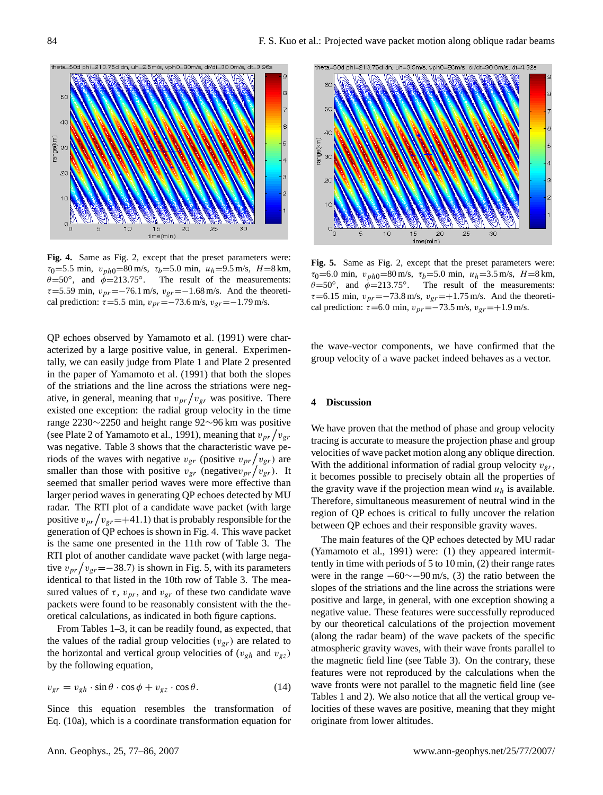

**Fig. 4.** Same as Fig. 2, except that the preset parameters were:  $\tau_0$ =5.5 min,  $v_{ph0}$ =80 m/s,  $\tau_b$ =5.0 min,  $u_h$ =9.5 m/s, H=8 km,  $\theta=50^\circ$ , and  $\phi=213.75^\circ$ . The result of the measurements:  $\tau$ =5.59 min,  $v_{pr}$ =−76.1 m/s,  $v_{gr}$ =−1.68 m/s. And the theoretical prediction:  $\tau$ =5.5 min,  $v_{pr}$ =−73.6 m/s,  $v_{gr}$ =−1.79 m/s.

QP echoes observed by Yamamoto et al. (1991) were charof measurement: <sup>τ</sup> = 5.59 min , *v m s pr* = −76.1 , *v m s gr* = −1.68 . And the tally, we can easily judge from Plate 1 and Plate 2 presented of the striations and the line across the striations were negacterized by a large positive value, in general. Experimenin the paper of Yamamoto et al. (1991) that both the slopes ative, in general, meaning that  $v_{pr}/v_{gr}$  was positive. There existed one exception: the radial group velocity in the time range 2230∼2250 and height range 92∼96 km was positive (see Plate 2 of Yamamoto et al., 1991), meaning that  $v_{pr}/v_{gr}$ was negative. Table 3 shows that the characteristic wave periods of the waves with negative  $v_{gr}$  (positive  $v_{pr}/v_{gr}$ ) are smaller than those with positive  $v_{gr}$  (negative $v_{pr}/v_{gr}$ ). It seemed that smaller period waves were more effective than larger period waves in generating QP echoes detected by MU radar. The RTI plot of a candidate wave packet (with large positive  $v_{pr}/v_{gr} = +41.1$ ) that is probably responsible for the generation of QP echoes is shown in Fig. 4. This wave packet is the same one presented in the 11th row of Table 3. The RTI plot of another candidate wave packet (with large negative  $v_{pr}/v_{gr} = -38.7$ ) is shown in Fig. 5, with its parameters identical to that listed in the 10th row of Table 3. The measured values of  $\tau$ ,  $v_{pr}$ , and  $v_{gr}$  of these two candidate wave packets were found to be reasonably consistent with the theoretical calculations, as indicated in both figure captions.

From Tables 1–3, it can be readily found, as expected, that the values of the radial group velocities  $(v_{gr})$  are related to the horizontal and vertical group velocities of  $(v_{gh}$  and  $v_{gz}$ ) by the following equation,

$$
v_{gr} = v_{gh} \cdot \sin \theta \cdot \cos \phi + v_{gz} \cdot \cos \theta. \tag{14}
$$

Since this equation resembles the transformation of Eq. (10a), which is a coordinate transformation equation for



**Fig.4** Same as Fig.2 except the preset parameters were: min <sup>τ</sup> <sup>0</sup> = 5.5 , *v m s ph*<sup>0</sup> = 80 , **Fig. 5.** Same as Fig. 2, except that the preset parameters were:  $\tau_0$ =6.0 min,  $v_{ph0}$ =80 m/s,  $\tau_b$ =5.0 min,  $u_h$ =3.5 m/s, H=8 km,  $\theta=50^\circ$ , and  $\phi=213.75^\circ$ . The result of the measurements:  $\tau$ =6.15 min,  $v_{pr}$ =−73.8 m/s,  $v_{gr}$ =+1.75 m/s. And the theoretical prediction:  $\tau$ =6.0 min,  $v_{pr}$ =−73.5 m/s,  $v_{gr}$ =+1.9 m/s.

the wave-vector components, we have confirmed that the group velocity of a wave packet indeed behaves as a vector.

#### **4 Discussion**

We have proven that the method of phase and group velocity tracing is accurate to measure the projection phase and group velocities of wave packet motion along any oblique direction. With the additional information of radial group velocity  $v_{gr}$ , it becomes possible to precisely obtain all the properties of the gravity wave if the projection mean wind  $u<sub>h</sub>$  is available. Therefore, simultaneous measurement of neutral wind in the region of QP echoes is critical to fully uncover the relation between QP echoes and their responsible gravity waves.

The main features of the QP echoes detected by MU radar (Yamamoto et al., 1991) were: (1) they appeared intermittently in time with periods of 5 to 10 min, (2) their range rates were in the range −60∼−90 m/s, (3) the ratio between the slopes of the striations and the line across the striations were positive and large, in general, with one exception showing a negative value. These features were successfully reproduced by our theoretical calculations of the projection movement (along the radar beam) of the wave packets of the specific atmospheric gravity waves, with their wave fronts parallel to the magnetic field line (see Table 3). On the contrary, these features were not reproduced by the calculations when the wave fronts were not parallel to the magnetic field line (see Tables 1 and 2). We also notice that all the vertical group velocities of these waves are positive, meaning that they might originate from lower altitudes.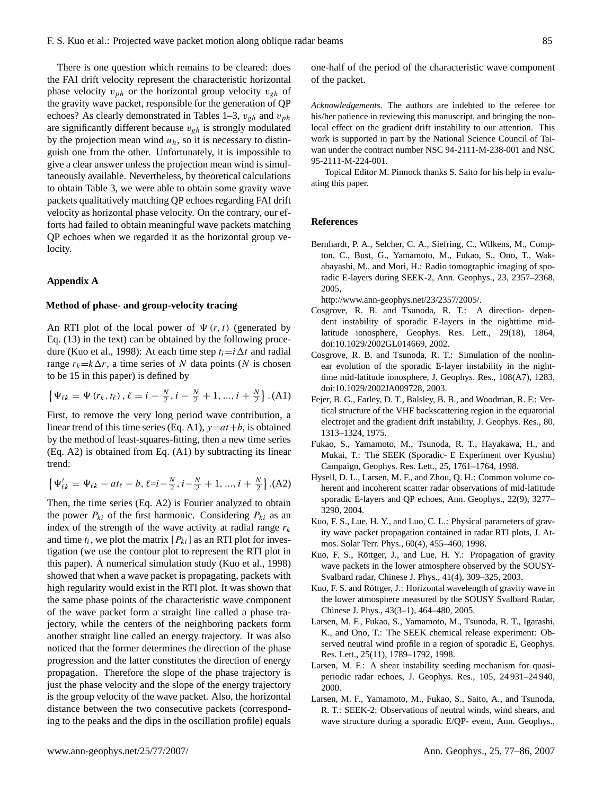There is one question which remains to be cleared: does the FAI drift velocity represent the characteristic horizontal phase velocity  $v_{ph}$  or the horizontal group velocity  $v_{gh}$  of the gravity wave packet, responsible for the generation of QP echoes? As clearly demonstrated in Tables 1–3,  $v_{gh}$  and  $v_{ph}$ are significantly different because  $v_{gh}$  is strongly modulated by the projection mean wind  $u<sub>h</sub>$ , so it is necessary to distinguish one from the other. Unfortunately, it is impossible to give a clear answer unless the projection mean wind is simultaneously available. Nevertheless, by theoretical calculations to obtain Table 3, we were able to obtain some gravity wave packets qualitatively matching QP echoes regarding FAI drift velocity as horizontal phase velocity. On the contrary, our efforts had failed to obtain meaningful wave packets matching QP echoes when we regarded it as the horizontal group velocity.

## **Appendix A**

## **Method of phase- and group-velocity tracing**

An RTI plot of the local power of  $\Psi(r, t)$  (generated by Eq. (13) in the text) can be obtained by the following procedure (Kuo et al., 1998): At each time step  $t_i=i\Delta t$  and radial range  $r_k = k\Delta r$ , a time series of N data points (N is chosen to be 15 in this paper) is defined by

$$
\left\{\Psi_{\ell k} = \Psi(r_k, t_\ell), \ell = i - \frac{N}{2}, i - \frac{N}{2} + 1, ..., i + \frac{N}{2}\right\}.
$$
 (A1)

First, to remove the very long period wave contribution, a linear trend of this time series (Eq. A1),  $y=at+b$ , is obtained by the method of least-squares-fitting, then a new time series (Eq. A2) is obtained from Eq. (A1) by subtracting its linear trend:

$$
\left\{\Psi'_{\ell k} = \Psi_{\ell k} - at_{\ell} - b, \ell = i - \frac{N}{2}, i - \frac{N}{2} + 1, ..., i + \frac{N}{2}\right\}.
$$
 (A2)

Then, the time series (Eq. A2) is Fourier analyzed to obtain the power  $P_{ki}$  of the first harmonic. Considering  $P_{ki}$  as an index of the strength of the wave activity at radial range  $r_k$ and time  $t_i$ , we plot the matrix  $[P_{ki}]$  as an RTI plot for investigation (we use the contour plot to represent the RTI plot in this paper). A numerical simulation study (Kuo et al., 1998) showed that when a wave packet is propagating, packets with high regularity would exist in the RTI plot. It was shown that the same phase points of the characteristic wave component of the wave packet form a straight line called a phase trajectory, while the centers of the neighboring packets form another straight line called an energy trajectory. It was also noticed that the former determines the direction of the phase progression and the latter constitutes the direction of energy propagation. Therefore the slope of the phase trajectory is just the phase velocity and the slope of the energy trajectory is the group velocity of the wave packet. Also, the horizontal distance between the two consecutive packets (corresponding to the peaks and the dips in the oscillation profile) equals

one-half of the period of the characteristic wave component of the packet.

*Acknowledgements.* The authors are indebted to the referee for his/her patience in reviewing this manuscript, and bringing the nonlocal effect on the gradient drift instability to our attention. This work is supported in part by the National Science Council of Taiwan under the contract number NSC 94-2111-M-238-001 and NSC 95-2111-M-224-001.

Topical Editor M. Pinnock thanks S. Saito for his help in evaluating this paper.

#### **References**

Bernhardt, P. A., Selcher, C. A., Siefring, C., Wilkens, M., Compton, C., Bust, G., Yamamoto, M., Fukao, S., Ono, T., Wakabayashi, M., and Mori, H.: Radio tomographic imaging of sporadic E-layers during SEEK-2, Ann. Geophys., 23, 2357–2368, 2005,

[http://www.ann-geophys.net/23/2357/2005/.](http://www.ann-geophys.net/23/2357/2005/)

- Cosgrove, R. B. and Tsunoda, R. T.: A direction- dependent instability of sporadic E-layers in the nighttime midlatitude ionosphere, Geophys. Res. Lett., 29(18), 1864, doi:10.1029/2002GL014669, 2002.
- Cosgrove, R. B. and Tsunoda, R. T.: Simulation of the nonlinear evolution of the sporadic E-layer instability in the nighttime mid-latitude ionosphere, J. Geophys. Res., 108(A7), 1283, doi:10.1029/2002JA009728, 2003.
- Fejer, B. G., Farley, D. T., Balsley, B. B., and Woodman, R. F.: Vertical structure of the VHF backscattering region in the equatorial electrojet and the gradient drift instability, J. Geophys. Res., 80, 1313–1324, 1975.
- Fukao, S., Yamamoto, M., Tsunoda, R. T., Hayakawa, H., and Mukai, T.: The SEEK (Sporadic- E Experiment over Kyushu) Campaign, Geophys. Res. Lett., 25, 1761–1764, 1998.
- Hysell, D. L., Larsen, M. F., and Zhou, Q. H.: Common volume coherent and incoherent scatter radar observations of mid-latitude sporadic E-layers and QP echoes, Ann. Geophys., 22(9), 3277– 3290, 2004.
- Kuo, F. S., Lue, H. Y., and Luo, C. L.: Physical parameters of gravity wave packet propagation contained in radar RTI plots, J. Atmos. Solar Terr. Phys., 60(4), 455–460, 1998.
- Kuo, F. S., Röttger, J., and Lue, H. Y.: Propagation of gravity wave packets in the lower atmosphere observed by the SOUSY-Svalbard radar, Chinese J. Phys., 41(4), 309–325, 2003.
- Kuo, F. S. and Röttger, J.: Horizontal wavelength of gravity wave in the lower atmosphere measured by the SOUSY Svalbard Radar, Chinese J. Phys., 43(3–1), 464–480, 2005.
- Larsen, M. F., Fukao, S., Yamamoto, M., Tsunoda, R. T., Igarashi, K., and Ono, T.: The SEEK chemical release experiment: Observed neutral wind profile in a region of sporadic E, Geophys. Res. Lett., 25(11), 1789–1792, 1998.
- Larsen, M. F.: A shear instability seeding mechanism for quasiperiodic radar echoes, J. Geophys. Res., 105, 24 931–24 940, 2000.
- Larsen, M. F., Yamamoto, M., Fukao, S., Saito, A., and Tsunoda, R. T.: SEEK-2: Observations of neutral winds, wind shears, and wave structure during a sporadic E/QP- event, Ann. Geophys.,